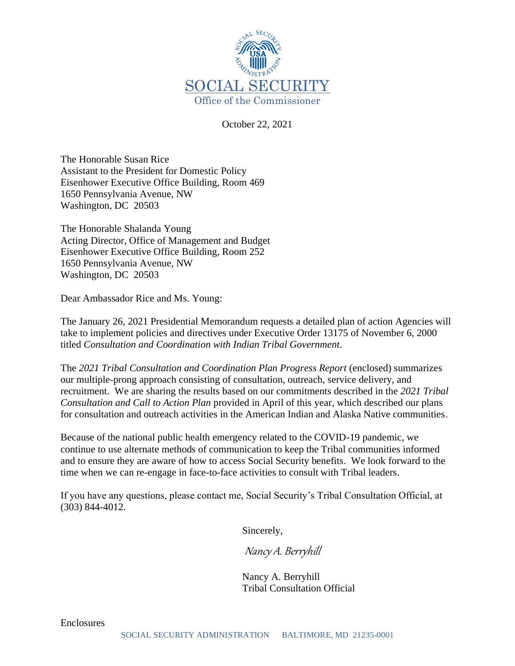

October 22, 2021

The Honorable Susan Rice Assistant to the President for Domestic Policy Eisenhower Executive Office Building, Room 469 1650 Pennsylvania Avenue, NW Washington, DC 20503

The Honorable Shalanda Young Acting Director, Office of Management and Budget Eisenhower Executive Office Building, Room 252 1650 Pennsylvania Avenue, NW Washington, DC 20503

Dear Ambassador Rice and Ms. Young:

The January 26, 2021 Presidential Memorandum requests a detailed plan of action Agencies will take to implement policies and directives under Executive Order 13175 of November 6, 2000 titled *Consultation and Coordination with Indian Tribal Government*.

The *2021 Tribal Consultation and Coordination Plan Progress Report* (enclosed) summarizes our multiple-prong approach consisting of consultation, outreach, service delivery, and recruitment. We are sharing the results based on our commitments described in the *2021 Tribal Consultation and Call to Action Plan* provided in April of this year, which described our plans for consultation and outreach activities in the American Indian and Alaska Native communities.

Because of the national public health emergency related to the COVID-19 pandemic, we continue to use alternate methods of communication to keep the Tribal communities informed and to ensure they are aware of how to access Social Security benefits. We look forward to the time when we can re-engage in face-to-face activities to consult with Tribal leaders.

If you have any questions, please contact me, Social Security's Tribal Consultation Official, at (303) 844-4012.

Sincerely,

Nancy A. Berryhill

 Nancy A. Berryhill Tribal Consultation Official

Enclosures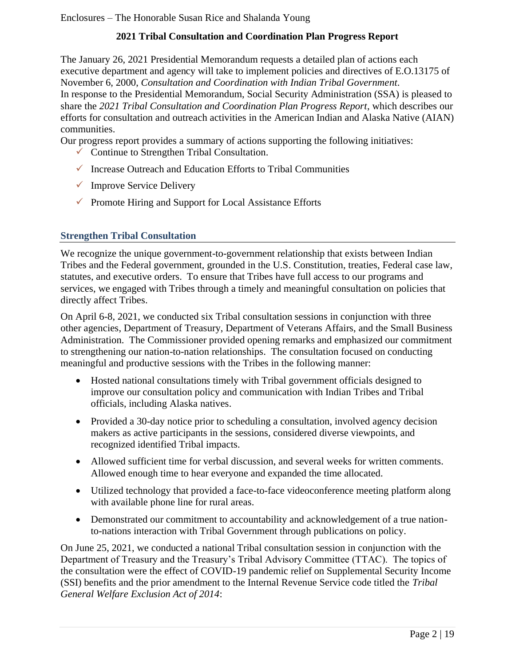# **2021 Tribal Consultation and Coordination Plan Progress Report**

The January 26, 2021 Presidential Memorandum requests a detailed plan of actions each executive department and agency will take to implement policies and directives of E.O.13175 of November 6, 2000, *Consultation and Coordination with Indian Tribal Government*. In response to the Presidential Memorandum, Social Security Administration (SSA) is pleased to share the *2021 Tribal Consultation and Coordination Plan Progress Report*, which describes our efforts for consultation and outreach activities in the American Indian and Alaska Native (AIAN) communities.

Our progress report provides a summary of actions supporting the following initiatives:

- $\checkmark$  Continue to Strengthen Tribal Consultation.
- $\checkmark$  Increase Outreach and Education Efforts to Tribal Communities
- $\checkmark$  Improve Service Delivery
- $\checkmark$  Promote Hiring and Support for Local Assistance Efforts

## **Strengthen Tribal Consultation**

We recognize the unique government-to-government relationship that exists between Indian Tribes and the Federal government, grounded in the U.S. Constitution, treaties, Federal case law, statutes, and executive orders. To ensure that Tribes have full access to our programs and services, we engaged with Tribes through a timely and meaningful consultation on policies that directly affect Tribes.

On April 6-8, 2021, we conducted six Tribal consultation sessions in conjunction with three other agencies, Department of Treasury, Department of Veterans Affairs, and the Small Business Administration. The Commissioner provided opening remarks and emphasized our commitment to strengthening our nation-to-nation relationships. The consultation focused on conducting meaningful and productive sessions with the Tribes in the following manner:

- Hosted national consultations timely with Tribal government officials designed to improve our consultation policy and communication with Indian Tribes and Tribal officials, including Alaska natives.
- Provided a 30-day notice prior to scheduling a consultation, involved agency decision makers as active participants in the sessions, considered diverse viewpoints, and recognized identified Tribal impacts.
- Allowed sufficient time for verbal discussion, and several weeks for written comments. Allowed enough time to hear everyone and expanded the time allocated.
- Utilized technology that provided a face-to-face videoconference meeting platform along with available phone line for rural areas.
- Demonstrated our commitment to accountability and acknowledgement of a true nationto-nations interaction with Tribal Government through publications on policy.

On June 25, 2021, we conducted a national Tribal consultation session in conjunction with the Department of Treasury and the Treasury's Tribal Advisory Committee (TTAC). The topics of the consultation were the effect of COVID-19 pandemic relief on Supplemental Security Income (SSI) benefits and the prior amendment to the Internal Revenue Service code titled the *Tribal General Welfare Exclusion Act of 2014*: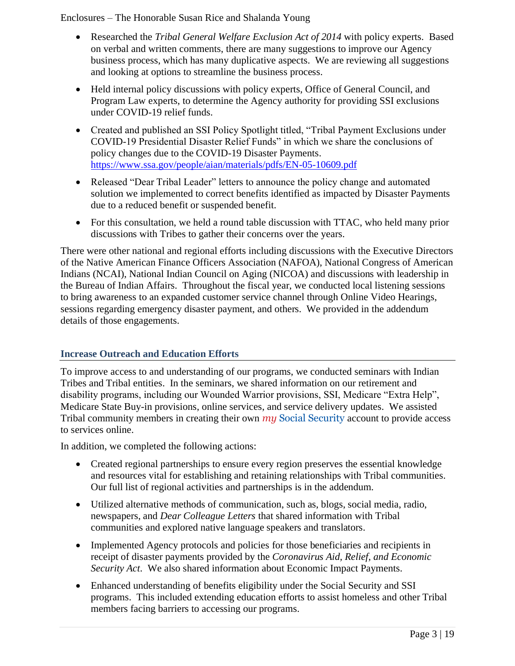- Researched the *Tribal General Welfare Exclusion Act of 2014* with policy experts. Based on verbal and written comments, there are many suggestions to improve our Agency business process, which has many duplicative aspects. We are reviewing all suggestions and looking at options to streamline the business process.
- Held internal policy discussions with policy experts, Office of General Council, and Program Law experts, to determine the Agency authority for providing SSI exclusions under COVID-19 relief funds.
- Created and published an SSI Policy Spotlight titled, "Tribal Payment Exclusions under COVID-19 Presidential Disaster Relief Funds" in which we share the conclusions of policy changes due to the COVID-19 Disaster Payments. <https://www.ssa.gov/people/aian/materials/pdfs/EN-05-10609.pdf>
- Released "Dear Tribal Leader" letters to announce the policy change and automated solution we implemented to correct benefits identified as impacted by Disaster Payments due to a reduced benefit or suspended benefit.
- For this consultation, we held a round table discussion with TTAC, who held many prior discussions with Tribes to gather their concerns over the years.

There were other national and regional efforts including discussions with the Executive Directors of the Native American Finance Officers Association (NAFOA), National Congress of American Indians (NCAI), National Indian Council on Aging (NICOA) and discussions with leadership in the Bureau of Indian Affairs. Throughout the fiscal year, we conducted local listening sessions to bring awareness to an expanded customer service channel through Online Video Hearings, sessions regarding emergency disaster payment, and others. We provided in the addendum details of those engagements.

## **Increase Outreach and Education Efforts**

To improve access to and understanding of our programs, we conducted seminars with Indian Tribes and Tribal entities. In the seminars, we shared information on our retirement and disability programs, including our Wounded Warrior provisions, SSI, Medicare "Extra Help", Medicare State Buy-in provisions, online services, and service delivery updates. We assisted Tribal community members in creating their own *my* Social Security account to provide access to services online.

In addition, we completed the following actions:

- Created regional partnerships to ensure every region preserves the essential knowledge and resources vital for establishing and retaining relationships with Tribal communities. Our full list of regional activities and partnerships is in the addendum.
- Utilized alternative methods of communication, such as, blogs, social media, radio, newspapers, and *Dear Colleague Letters* that shared information with Tribal communities and explored native language speakers and translators.
- Implemented Agency protocols and policies for those beneficiaries and recipients in receipt of disaster payments provided by the *Coronavirus Aid, Relief, and Economic Security Act*. We also shared information about Economic Impact Payments.
- Enhanced understanding of benefits eligibility under the Social Security and SSI programs. This included extending education efforts to assist homeless and other Tribal members facing barriers to accessing our programs.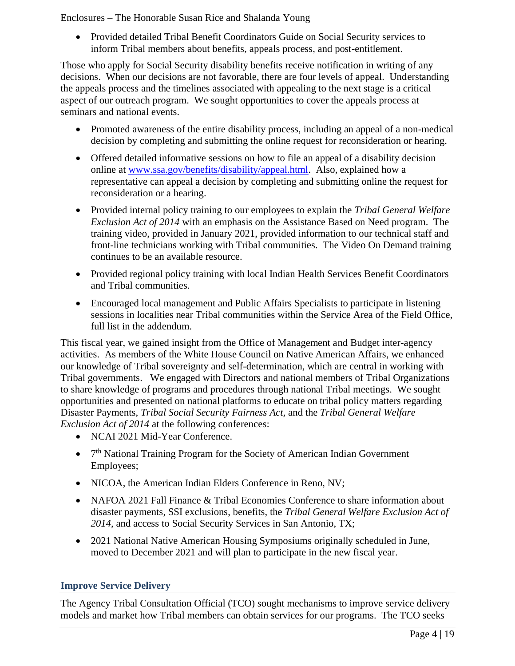• Provided detailed Tribal Benefit Coordinators Guide on Social Security services to inform Tribal members about benefits, appeals process, and post-entitlement.

Those who apply for Social Security disability benefits receive notification in writing of any decisions. When our decisions are not favorable, there are four levels of appeal. Understanding the appeals process and the timelines associated with appealing to the next stage is a critical aspect of our outreach program. We sought opportunities to cover the appeals process at seminars and national events.

- Promoted awareness of the entire disability process, including an appeal of a non-medical decision by completing and submitting the online request for reconsideration or hearing.
- Offered detailed informative sessions on how to file an appeal of a disability decision online at [www.ssa.gov/benefits/disability/appeal.html.](http://www.ssa.gov/benefits/disability/appeal.html) Also, explained how a representative can appeal a decision by completing and submitting online the request for reconsideration or a hearing.
- Provided internal policy training to our employees to explain the *Tribal General Welfare Exclusion Act of 2014* with an emphasis on the Assistance Based on Need program. The training video, provided in January 2021, provided information to our technical staff and front-line technicians working with Tribal communities. The Video On Demand training continues to be an available resource.
- Provided regional policy training with local Indian Health Services Benefit Coordinators and Tribal communities.
- Encouraged local management and Public Affairs Specialists to participate in listening sessions in localities near Tribal communities within the Service Area of the Field Office, full list in the addendum.

This fiscal year, we gained insight from the Office of Management and Budget inter-agency activities. As members of the White House Council on Native American Affairs, we enhanced our knowledge of Tribal sovereignty and self-determination, which are central in working with Tribal governments. We engaged with Directors and national members of Tribal Organizations to share knowledge of programs and procedures through national Tribal meetings. We sought opportunities and presented on national platforms to educate on tribal policy matters regarding Disaster Payments, *Tribal Social Security Fairness Act,* and the *Tribal General Welfare Exclusion Act of 2014* at the following conferences:

- NCAI 2021 Mid-Year Conference.
- 7<sup>th</sup> National Training Program for the Society of American Indian Government Employees;
- NICOA, the American Indian Elders Conference in Reno, NV;
- NAFOA 2021 Fall Finance & Tribal Economies Conference to share information about disaster payments, SSI exclusions, benefits, the *Tribal General Welfare Exclusion Act of 2014*, and access to Social Security Services in San Antonio, TX;
- 2021 National Native American Housing Symposiums originally scheduled in June, moved to December 2021 and will plan to participate in the new fiscal year.

## **Improve Service Delivery**

The Agency Tribal Consultation Official (TCO) sought mechanisms to improve service delivery models and market how Tribal members can obtain services for our programs. The TCO seeks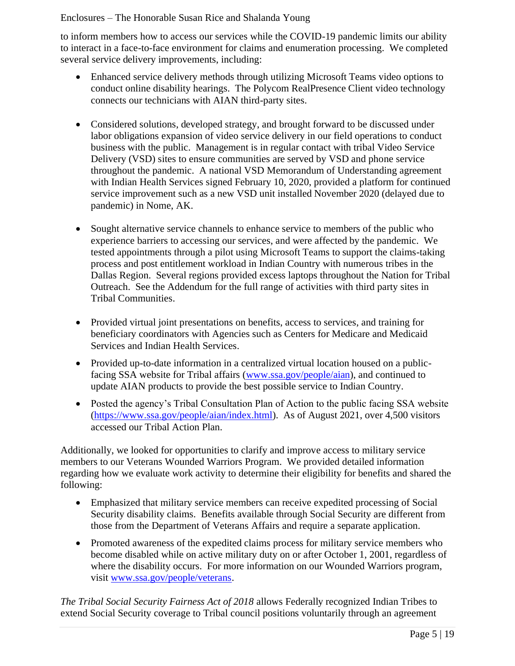to inform members how to access our services while the COVID-19 pandemic limits our ability to interact in a face-to-face environment for claims and enumeration processing. We completed several service delivery improvements, including:

- Enhanced service delivery methods through utilizing Microsoft Teams video options to conduct online disability hearings. The Polycom RealPresence Client video technology connects our technicians with AIAN third-party sites.
- Considered solutions, developed strategy, and brought forward to be discussed under labor obligations expansion of video service delivery in our field operations to conduct business with the public. Management is in regular contact with tribal Video Service Delivery (VSD) sites to ensure communities are served by VSD and phone service throughout the pandemic. A national VSD Memorandum of Understanding agreement with Indian Health Services signed February 10, 2020, provided a platform for continued service improvement such as a new VSD unit installed November 2020 (delayed due to pandemic) in Nome, AK.
- Sought alternative service channels to enhance service to members of the public who experience barriers to accessing our services, and were affected by the pandemic. We tested appointments through a pilot using Microsoft Teams to support the claims-taking process and post entitlement workload in Indian Country with numerous tribes in the Dallas Region. Several regions provided excess laptops throughout the Nation for Tribal Outreach. See the Addendum for the full range of activities with third party sites in Tribal Communities.
- Provided virtual joint presentations on benefits, access to services, and training for beneficiary coordinators with Agencies such as Centers for Medicare and Medicaid Services and Indian Health Services.
- Provided up-to-date information in a centralized virtual location housed on a publicfacing SSA website for Tribal affairs [\(www.ssa.gov/people/aian\)](http://www.ssa.gov/people/aian), and continued to update AIAN products to provide the best possible service to Indian Country.
- Posted the agency's Tribal Consultation Plan of Action to the public facing SSA website [\(https://www.ssa.gov/people/aian/index.html\)](https://www.ssa.gov/people/aian/index.html). As of August 2021, over 4,500 visitors accessed our Tribal Action Plan.

Additionally, we looked for opportunities to clarify and improve access to military service members to our Veterans Wounded Warriors Program. We provided detailed information regarding how we evaluate work activity to determine their eligibility for benefits and shared the following:

- Emphasized that military service members can receive expedited processing of Social Security disability claims. Benefits available through Social Security are different from those from the Department of Veterans Affairs and require a separate application.
- Promoted awareness of the expedited claims process for military service members who become disabled while on active military duty on or after October 1, 2001, regardless of where the disability occurs. For more information on our Wounded Warriors program, visit [www.ssa.gov/people/veterans.](http://www.ssa.gov/people/veterans)

*The Tribal Social Security Fairness Act of 2018* allows Federally recognized Indian Tribes to extend Social Security coverage to Tribal council positions voluntarily through an agreement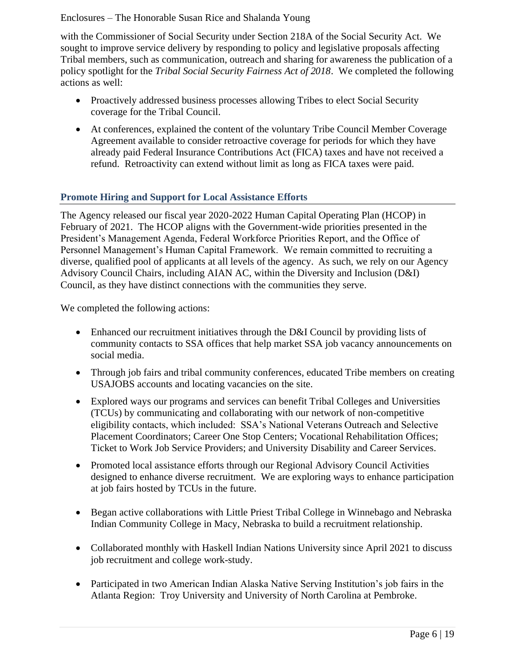with the Commissioner of Social Security under Section 218A of the Social Security Act. We sought to improve service delivery by responding to policy and legislative proposals affecting Tribal members, such as communication, outreach and sharing for awareness the publication of a policy spotlight for the *Tribal Social Security Fairness Act of 2018*. We completed the following actions as well:

- Proactively addressed business processes allowing Tribes to elect Social Security coverage for the Tribal Council.
- At conferences, explained the content of the voluntary Tribe Council Member Coverage Agreement available to consider retroactive coverage for periods for which they have already paid Federal Insurance Contributions Act (FICA) taxes and have not received a refund. Retroactivity can extend without limit as long as FICA taxes were paid.

# **Promote Hiring and Support for Local Assistance Efforts**

The Agency released our fiscal year 2020-2022 Human Capital Operating Plan (HCOP) in February of 2021. The HCOP aligns with the Government-wide priorities presented in the President's Management Agenda, Federal Workforce Priorities Report, and the Office of Personnel Management's Human Capital Framework. We remain committed to recruiting a diverse, qualified pool of applicants at all levels of the agency. As such, we rely on our Agency Advisory Council Chairs, including AIAN AC, within the Diversity and Inclusion (D&I) Council, as they have distinct connections with the communities they serve.

We completed the following actions:

- Enhanced our recruitment initiatives through the D&I Council by providing lists of community contacts to SSA offices that help market SSA job vacancy announcements on social media.
- Through job fairs and tribal community conferences, educated Tribe members on creating USAJOBS accounts and locating vacancies on the site.
- Explored ways our programs and services can benefit Tribal Colleges and Universities (TCUs) by communicating and collaborating with our network of non-competitive eligibility contacts, which included: SSA's National Veterans Outreach and Selective Placement Coordinators; Career One Stop Centers; Vocational Rehabilitation Offices; Ticket to Work Job Service Providers; and University Disability and Career Services.
- Promoted local assistance efforts through our Regional Advisory Council Activities designed to enhance diverse recruitment. We are exploring ways to enhance participation at job fairs hosted by TCUs in the future.
- Began active collaborations with Little Priest Tribal College in Winnebago and Nebraska Indian Community College in Macy, Nebraska to build a recruitment relationship.
- Collaborated monthly with Haskell Indian Nations University since April 2021 to discuss job recruitment and college work-study.
- Participated in two American Indian Alaska Native Serving Institution's job fairs in the Atlanta Region: Troy University and University of North Carolina at Pembroke.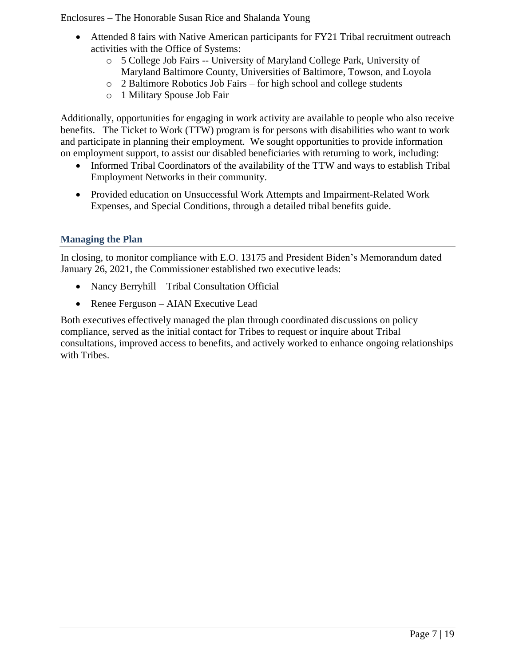- Attended 8 fairs with Native American participants for FY21 Tribal recruitment outreach activities with the Office of Systems:
	- o 5 College Job Fairs -- University of Maryland College Park, University of Maryland Baltimore County, Universities of Baltimore, Towson, and Loyola
	- o 2 Baltimore Robotics Job Fairs for high school and college students
	- o 1 Military Spouse Job Fair

Additionally, opportunities for engaging in work activity are available to people who also receive benefits. The Ticket to Work (TTW) program is for persons with disabilities who want to work and participate in planning their employment. We sought opportunities to provide information on employment support, to assist our disabled beneficiaries with returning to work, including:

- Informed Tribal Coordinators of the availability of the TTW and ways to establish Tribal Employment Networks in their community.
- Provided education on Unsuccessful Work Attempts and Impairment-Related Work Expenses, and Special Conditions, through a detailed tribal benefits guide.

## **Managing the Plan**

In closing, to monitor compliance with E.O. 13175 and President Biden's Memorandum dated January 26, 2021, the Commissioner established two executive leads:

- Nancy Berryhill Tribal Consultation Official
- Renee Ferguson AIAN Executive Lead

Both executives effectively managed the plan through coordinated discussions on policy compliance, served as the initial contact for Tribes to request or inquire about Tribal consultations, improved access to benefits, and actively worked to enhance ongoing relationships with Tribes.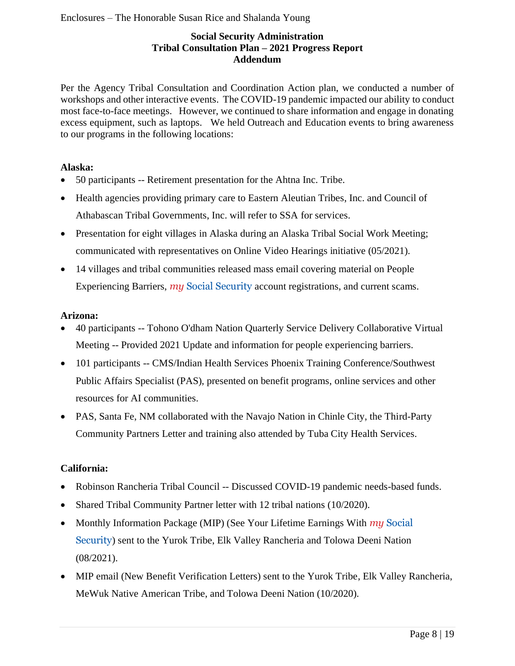## **Social Security Administration Tribal Consultation Plan – 2021 Progress Report Addendum**

Per the Agency Tribal Consultation and Coordination Action plan, we conducted a number of workshops and other interactive events. The COVID-19 pandemic impacted our ability to conduct most face-to-face meetings. However, we continued to share information and engage in donating excess equipment, such as laptops. We held Outreach and Education events to bring awareness to our programs in the following locations:

#### **Alaska:**

- 50 participants -- Retirement presentation for the Ahtna Inc. Tribe.
- Health agencies providing primary care to Eastern Aleutian Tribes, Inc. and Council of Athabascan Tribal Governments, Inc. will refer to SSA for services.
- Presentation for eight villages in Alaska during an Alaska Tribal Social Work Meeting; communicated with representatives on Online Video Hearings initiative (05/2021).
- 14 villages and tribal communities released mass email covering material on People Experiencing Barriers, *my* Social Security account registrations, and current scams.

#### **Arizona:**

- 40 participants -- Tohono O'dham Nation Quarterly Service Delivery Collaborative Virtual Meeting -- Provided 2021 Update and information for people experiencing barriers.
- 101 participants -- CMS/Indian Health Services Phoenix Training Conference/Southwest Public Affairs Specialist (PAS), presented on benefit programs, online services and other resources for AI communities.
- PAS, Santa Fe, NM collaborated with the Navajo Nation in Chinle City, the Third-Party Community Partners Letter and training also attended by Tuba City Health Services.

## **California:**

- Robinson Rancheria Tribal Council -- Discussed COVID-19 pandemic needs-based funds.
- Shared Tribal Community Partner letter with 12 tribal nations (10/2020).
- Monthly Information Package (MIP) (See Your Lifetime Earnings With *my* Social Security) sent to the Yurok Tribe, Elk Valley Rancheria and Tolowa Deeni Nation (08/2021).
- MIP email (New Benefit Verification Letters) sent to the Yurok Tribe, Elk Valley Rancheria, MeWuk Native American Tribe, and Tolowa Deeni Nation (10/2020).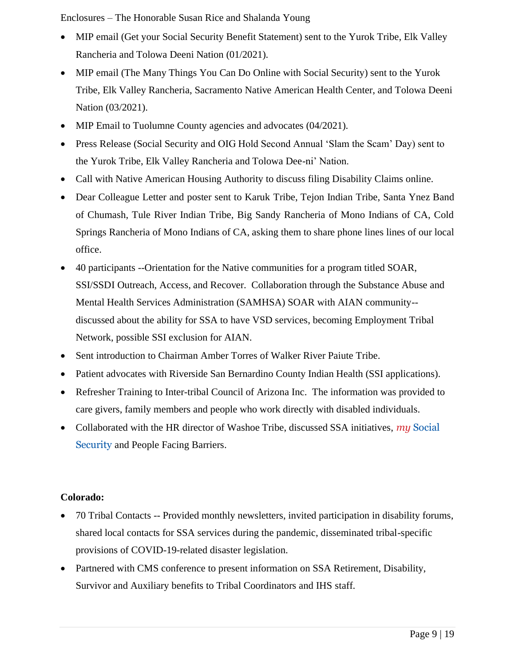- MIP email (Get your Social Security Benefit Statement) sent to the Yurok Tribe, Elk Valley Rancheria and Tolowa Deeni Nation (01/2021).
- MIP email (The Many Things You Can Do Online with Social Security) sent to the Yurok Tribe, Elk Valley Rancheria, Sacramento Native American Health Center, and Tolowa Deeni Nation (03/2021).
- MIP Email to Tuolumne County agencies and advocates (04/2021).
- Press Release (Social Security and OIG Hold Second Annual 'Slam the Scam' Day) sent to the Yurok Tribe, Elk Valley Rancheria and Tolowa Dee-ni' Nation.
- Call with Native American Housing Authority to discuss filing Disability Claims online.
- Dear Colleague Letter and poster sent to Karuk Tribe, Tejon Indian Tribe, Santa Ynez Band of Chumash, Tule River Indian Tribe, Big Sandy Rancheria of Mono Indians of CA, Cold Springs Rancheria of Mono Indians of CA, asking them to share phone lines lines of our local office.
- 40 participants --Orientation for the Native communities for a program titled SOAR, SSI/SSDI Outreach, Access, and Recover. Collaboration through the Substance Abuse and Mental Health Services Administration (SAMHSA) SOAR with AIAN community- discussed about the ability for SSA to have VSD services, becoming Employment Tribal Network, possible SSI exclusion for AIAN.
- Sent introduction to Chairman Amber Torres of Walker River Paiute Tribe.
- Patient advocates with Riverside San Bernardino County Indian Health (SSI applications).
- Refresher Training to Inter-tribal Council of Arizona Inc. The information was provided to care givers, family members and people who work directly with disabled individuals.
- Collaborated with the HR director of Washoe Tribe, discussed SSA initiatives, *my* Social Security and People Facing Barriers.

## **Colorado:**

- 70 Tribal Contacts -- Provided monthly newsletters, invited participation in disability forums, shared local contacts for SSA services during the pandemic, disseminated tribal-specific provisions of COVID-19-related disaster legislation.
- Partnered with CMS conference to present information on SSA Retirement, Disability, Survivor and Auxiliary benefits to Tribal Coordinators and IHS staff.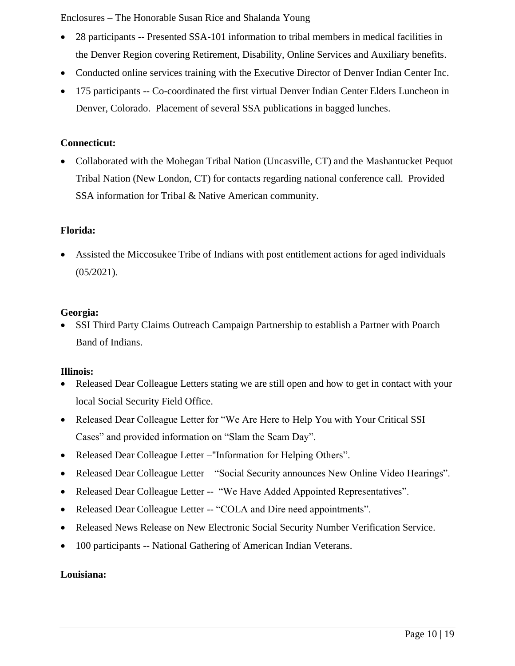- 28 participants -- Presented SSA-101 information to tribal members in medical facilities in the Denver Region covering Retirement, Disability, Online Services and Auxiliary benefits.
- Conducted online services training with the Executive Director of Denver Indian Center Inc.
- 175 participants -- Co-coordinated the first virtual Denver Indian Center Elders Luncheon in Denver, Colorado. Placement of several SSA publications in bagged lunches.

#### **Connecticut:**

• Collaborated with the Mohegan Tribal Nation (Uncasville, CT) and the Mashantucket Pequot Tribal Nation (New London, CT) for contacts regarding national conference call. Provided SSA information for Tribal & Native American community.

#### **Florida:**

• Assisted the Miccosukee Tribe of Indians with post entitlement actions for aged individuals (05/2021).

#### **Georgia:**

• SSI Third Party Claims Outreach Campaign Partnership to establish a Partner with Poarch Band of Indians.

#### **Illinois:**

- Released Dear Colleague Letters stating we are still open and how to get in contact with your local Social Security Field Office.
- Released Dear Colleague Letter for "We Are Here to Help You with Your Critical SSI Cases" and provided information on "Slam the Scam Day".
- Released Dear Colleague Letter –"Information for Helping Others".
- Released Dear Colleague Letter "Social Security announces New Online Video Hearings".
- Released Dear Colleague Letter -- "We Have Added Appointed Representatives".
- Released Dear Colleague Letter -- "COLA and Dire need appointments".
- Released News Release on New Electronic Social Security Number Verification Service.
- 100 participants -- National Gathering of American Indian Veterans.

#### **Louisiana:**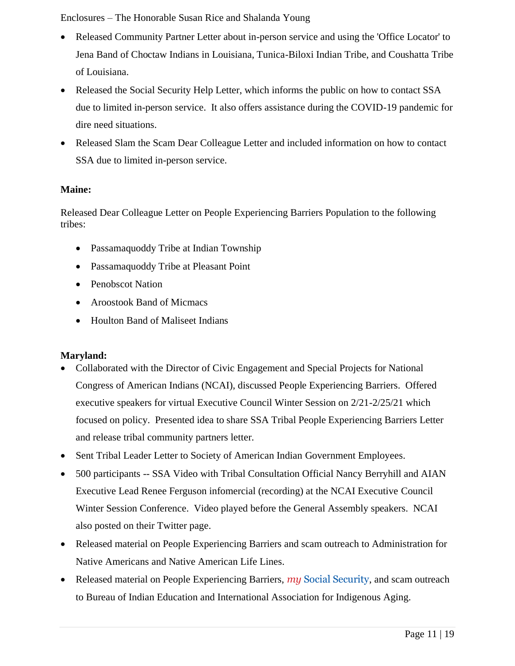- Released Community Partner Letter about in-person service and using the 'Office Locator' to Jena Band of Choctaw Indians in Louisiana, Tunica-Biloxi Indian Tribe, and Coushatta Tribe of Louisiana.
- Released the Social Security Help Letter, which informs the public on how to contact SSA due to limited in-person service. It also offers assistance during the COVID-19 pandemic for dire need situations.
- Released Slam the Scam Dear Colleague Letter and included information on how to contact SSA due to limited in-person service.

## **Maine:**

Released Dear Colleague Letter on People Experiencing Barriers Population to the following tribes:

- Passamaquoddy Tribe at Indian Township
- Passamaquoddy Tribe at Pleasant Point
- Penobscot Nation
- Aroostook Band of Micmacs
- Houlton Band of Maliseet Indians

# **Maryland:**

- Collaborated with the Director of Civic Engagement and Special Projects for National Congress of American Indians (NCAI), discussed People Experiencing Barriers. Offered executive speakers for virtual Executive Council Winter Session on 2/21-2/25/21 which focused on policy. Presented idea to share SSA Tribal People Experiencing Barriers Letter and release tribal community partners letter.
- Sent Tribal Leader Letter to Society of American Indian Government Employees.
- 500 participants -- SSA Video with Tribal Consultation Official Nancy Berryhill and AIAN Executive Lead Renee Ferguson infomercial (recording) at the NCAI Executive Council Winter Session Conference. Video played before the General Assembly speakers. NCAI also posted on their Twitter page.
- Released material on People Experiencing Barriers and scam outreach to Administration for Native Americans and Native American Life Lines.
- Released material on People Experiencing Barriers, *my* Social Security, and scam outreach to Bureau of Indian Education and International Association for Indigenous Aging.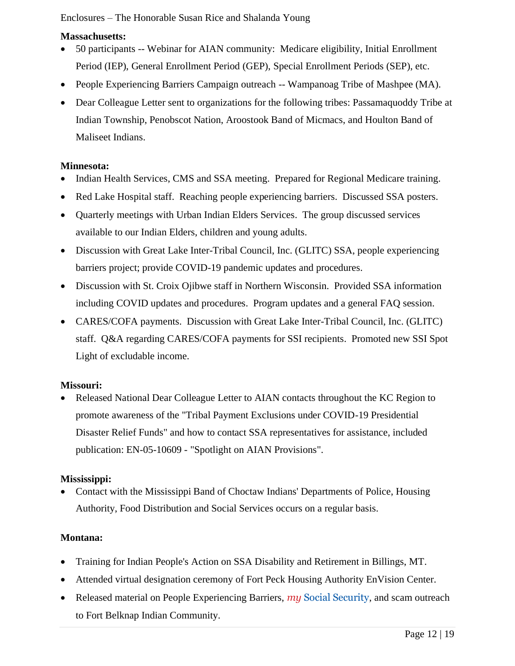## **Massachusetts:**

- 50 participants -- Webinar for AIAN community: Medicare eligibility, Initial Enrollment Period (IEP), General Enrollment Period (GEP), Special Enrollment Periods (SEP), etc.
- People Experiencing Barriers Campaign outreach -- Wampanoag Tribe of Mashpee (MA).
- Dear Colleague Letter sent to organizations for the following tribes: Passamaquoddy Tribe at Indian Township, Penobscot Nation, Aroostook Band of Micmacs, and Houlton Band of Maliseet Indians.

#### **Minnesota:**

- Indian Health Services, CMS and SSA meeting. Prepared for Regional Medicare training.
- Red Lake Hospital staff. Reaching people experiencing barriers. Discussed SSA posters.
- Quarterly meetings with Urban Indian Elders Services. The group discussed services available to our Indian Elders, children and young adults.
- Discussion with Great Lake Inter-Tribal Council, Inc. (GLITC) SSA, people experiencing barriers project; provide COVID-19 pandemic updates and procedures.
- Discussion with St. Croix Ojibwe staff in Northern Wisconsin. Provided SSA information including COVID updates and procedures. Program updates and a general FAQ session.
- CARES/COFA payments. Discussion with Great Lake Inter-Tribal Council, Inc. (GLITC) staff. Q&A regarding CARES/COFA payments for SSI recipients. Promoted new SSI Spot Light of excludable income.

## **Missouri:**

• Released National Dear Colleague Letter to AIAN contacts throughout the KC Region to promote awareness of the "Tribal Payment Exclusions under COVID-19 Presidential Disaster Relief Funds" and how to contact SSA representatives for assistance, included publication: EN-05-10609 - "Spotlight on AIAN Provisions".

## **Mississippi:**

• Contact with the Mississippi Band of Choctaw Indians' Departments of Police, Housing Authority, Food Distribution and Social Services occurs on a regular basis.

## **Montana:**

- Training for Indian People's Action on SSA Disability and Retirement in Billings, MT.
- Attended virtual designation ceremony of Fort Peck Housing Authority EnVision Center.
- Released material on People Experiencing Barriers, *my* Social Security, and scam outreach to Fort Belknap Indian Community.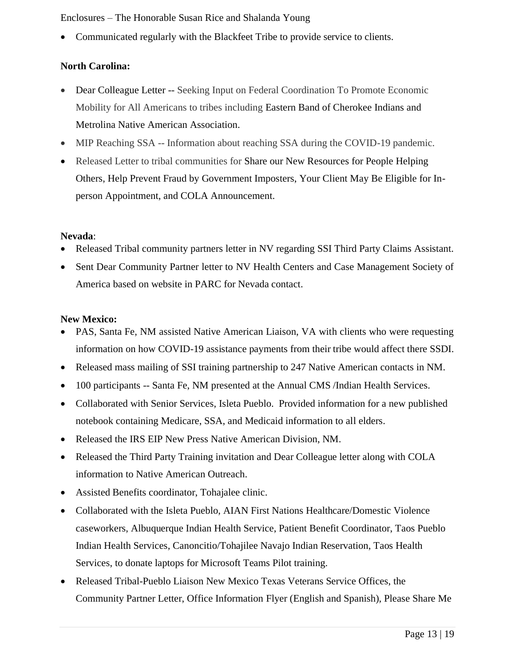• Communicated regularly with the Blackfeet Tribe to provide service to clients.

## **North Carolina:**

- Dear Colleague Letter -- Seeking Input on Federal Coordination To Promote Economic Mobility for All Americans to tribes including Eastern Band of Cherokee Indians and Metrolina Native American Association.
- MIP Reaching SSA -- Information about reaching SSA during the COVID-19 pandemic.
- Released Letter to tribal communities for Share our New Resources for People Helping Others, Help Prevent Fraud by Government Imposters, Your Client May Be Eligible for Inperson Appointment, and COLA Announcement.

#### **Nevada**:

- Released Tribal community partners letter in NV regarding SSI Third Party Claims Assistant.
- Sent Dear Community Partner letter to NV Health Centers and Case Management Society of America based on website in PARC for Nevada contact.

#### **New Mexico:**

- PAS, Santa Fe, NM assisted Native American Liaison, VA with clients who were requesting information on how COVID-19 assistance payments from their tribe would affect there SSDI.
- Released mass mailing of SSI training partnership to 247 Native American contacts in NM.
- 100 participants -- Santa Fe, NM presented at the Annual CMS /Indian Health Services.
- Collaborated with Senior Services, Isleta Pueblo. Provided information for a new published notebook containing Medicare, SSA, and Medicaid information to all elders.
- Released the IRS EIP New Press Native American Division, NM.
- Released the Third Party Training invitation and Dear Colleague letter along with COLA information to Native American Outreach.
- Assisted Benefits coordinator, Tohajalee clinic.
- Collaborated with the Isleta Pueblo, AIAN First Nations Healthcare/Domestic Violence caseworkers, Albuquerque Indian Health Service, Patient Benefit Coordinator, Taos Pueblo Indian Health Services, Canoncitio/Tohajilee Navajo Indian Reservation, Taos Health Services, to donate laptops for Microsoft Teams Pilot training.
- Released Tribal-Pueblo Liaison New Mexico Texas Veterans Service Offices, the Community Partner Letter, Office Information Flyer (English and Spanish), Please Share Me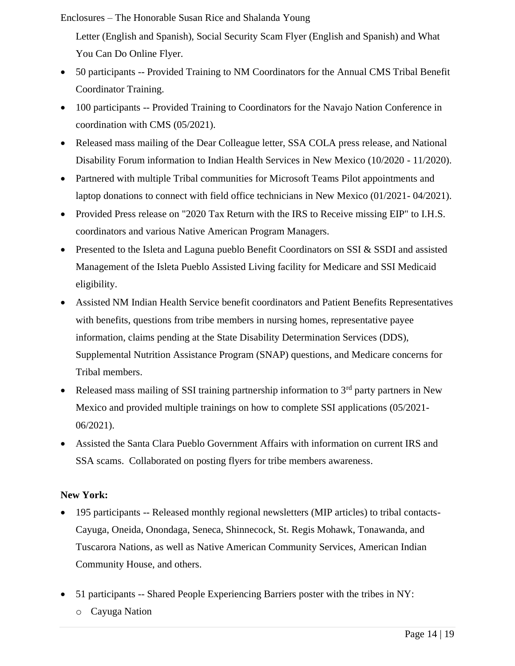Letter (English and Spanish), Social Security Scam Flyer (English and Spanish) and What You Can Do Online Flyer.

- 50 participants -- Provided Training to NM Coordinators for the Annual CMS Tribal Benefit Coordinator Training.
- 100 participants -- Provided Training to Coordinators for the Navajo Nation Conference in coordination with CMS (05/2021).
- Released mass mailing of the Dear Colleague letter, SSA COLA press release, and National Disability Forum information to Indian Health Services in New Mexico (10/2020 - 11/2020).
- Partnered with multiple Tribal communities for Microsoft Teams Pilot appointments and laptop donations to connect with field office technicians in New Mexico (01/2021- 04/2021).
- Provided Press release on "2020 Tax Return with the IRS to Receive missing EIP" to I.H.S. coordinators and various Native American Program Managers.
- Presented to the Isleta and Laguna pueblo Benefit Coordinators on SSI & SSDI and assisted Management of the Isleta Pueblo Assisted Living facility for Medicare and SSI Medicaid eligibility.
- Assisted NM Indian Health Service benefit coordinators and Patient Benefits Representatives with benefits, questions from tribe members in nursing homes, representative payee information, claims pending at the State Disability Determination Services (DDS), Supplemental Nutrition Assistance Program (SNAP) questions, and Medicare concerns for Tribal members.
- Released mass mailing of SSI training partnership information to  $3<sup>rd</sup>$  party partners in New Mexico and provided multiple trainings on how to complete SSI applications (05/2021- 06/2021).
- Assisted the Santa Clara Pueblo Government Affairs with information on current IRS and SSA scams. Collaborated on posting flyers for tribe members awareness.

# **New York:**

- 195 participants -- Released monthly regional newsletters (MIP articles) to tribal contacts-Cayuga, Oneida, Onondaga, Seneca, Shinnecock, St. Regis Mohawk, Tonawanda, and Tuscarora Nations, as well as Native American Community Services, American Indian Community House, and others.
- 51 participants -- Shared People Experiencing Barriers poster with the tribes in NY: o Cayuga Nation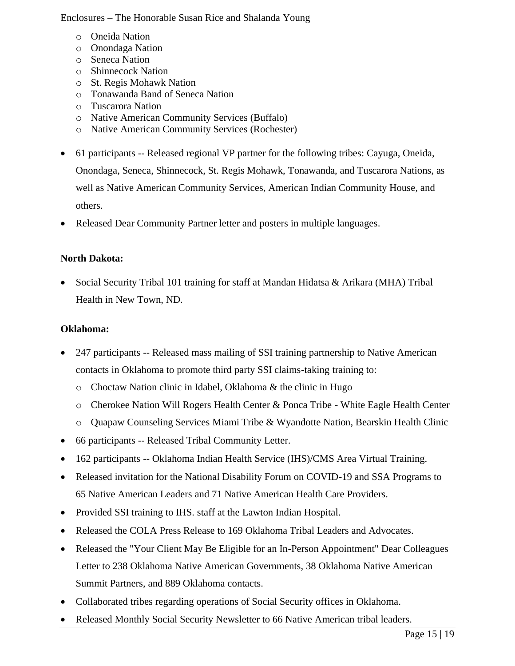- o Oneida Nation
- o Onondaga Nation
- o Seneca Nation
- o Shinnecock Nation
- o St. Regis Mohawk Nation
- o Tonawanda Band of Seneca Nation
- o Tuscarora Nation
- o Native American Community Services (Buffalo)
- o Native American Community Services (Rochester)
- 61 participants -- Released regional VP partner for the following tribes: Cayuga, Oneida, Onondaga, Seneca, Shinnecock, St. Regis Mohawk, Tonawanda, and Tuscarora Nations, as well as Native American Community Services, American Indian Community House, and others.
- Released Dear Community Partner letter and posters in multiple languages.

## **North Dakota:**

• Social Security Tribal 101 training for staff at Mandan Hidatsa & Arikara (MHA) Tribal Health in New Town, ND.

#### **Oklahoma:**

- 247 participants -- Released mass mailing of SSI training partnership to Native American contacts in Oklahoma to promote third party SSI claims-taking training to:
	- o Choctaw Nation clinic in Idabel, Oklahoma & the clinic in Hugo
	- o Cherokee Nation Will Rogers Health Center & Ponca Tribe White Eagle Health Center
	- o Quapaw Counseling Services Miami Tribe & Wyandotte Nation, Bearskin Health Clinic
- 66 participants -- Released Tribal Community Letter.
- 162 participants -- Oklahoma Indian Health Service (IHS)/CMS Area Virtual Training.
- Released invitation for the National Disability Forum on COVID-19 and SSA Programs to 65 Native American Leaders and 71 Native American Health Care Providers.
- Provided SSI training to IHS. staff at the Lawton Indian Hospital.
- Released the COLA Press Release to 169 Oklahoma Tribal Leaders and Advocates.
- Released the "Your Client May Be Eligible for an In-Person Appointment" Dear Colleagues Letter to 238 Oklahoma Native American Governments, 38 Oklahoma Native American Summit Partners, and 889 Oklahoma contacts.
- Collaborated tribes regarding operations of Social Security offices in Oklahoma.
- Released Monthly Social Security Newsletter to 66 Native American tribal leaders.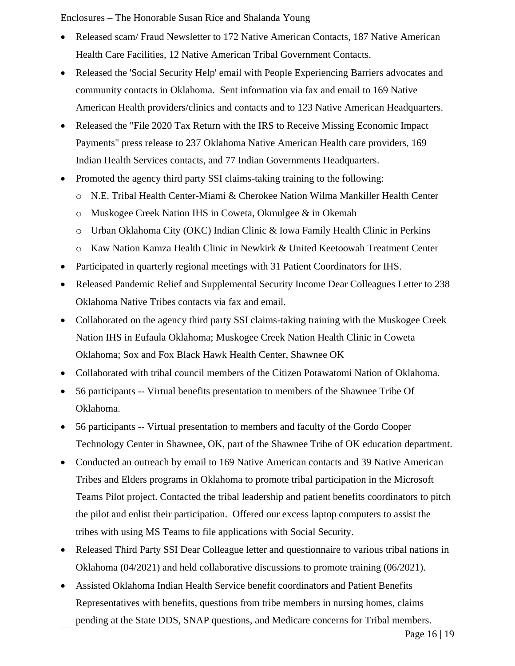- Released scam/Fraud Newsletter to 172 Native American Contacts, 187 Native American Health Care Facilities, 12 Native American Tribal Government Contacts.
- Released the 'Social Security Help' email with People Experiencing Barriers advocates and community contacts in Oklahoma. Sent information via fax and email to 169 Native American Health providers/clinics and contacts and to 123 Native American Headquarters.
- Released the "File 2020 Tax Return with the IRS to Receive Missing Economic Impact Payments" press release to 237 Oklahoma Native American Health care providers, 169 Indian Health Services contacts, and 77 Indian Governments Headquarters.
- Promoted the agency third party SSI claims-taking training to the following:
	- o N.E. Tribal Health Center-Miami & Cherokee Nation Wilma Mankiller Health Center
	- o Muskogee Creek Nation IHS in Coweta, Okmulgee & in Okemah
	- o Urban Oklahoma City (OKC) Indian Clinic & Iowa Family Health Clinic in Perkins
	- o Kaw Nation Kamza Health Clinic in Newkirk & United Keetoowah Treatment Center
- Participated in quarterly regional meetings with 31 Patient Coordinators for IHS.
- Released Pandemic Relief and Supplemental Security Income Dear Colleagues Letter to 238 Oklahoma Native Tribes contacts via fax and email.
- Collaborated on the agency third party SSI claims-taking training with the Muskogee Creek Nation IHS in Eufaula Oklahoma; Muskogee Creek Nation Health Clinic in Coweta Oklahoma; Sox and Fox Black Hawk Health Center, Shawnee OK
- Collaborated with tribal council members of the Citizen Potawatomi Nation of Oklahoma.
- 56 participants -- Virtual benefits presentation to members of the Shawnee Tribe Of Oklahoma.
- 56 participants -- Virtual presentation to members and faculty of the Gordo Cooper Technology Center in Shawnee, OK, part of the Shawnee Tribe of OK education department.
- Conducted an outreach by email to 169 Native American contacts and 39 Native American Tribes and Elders programs in Oklahoma to promote tribal participation in the Microsoft Teams Pilot project. Contacted the tribal leadership and patient benefits coordinators to pitch the pilot and enlist their participation. Offered our excess laptop computers to assist the tribes with using MS Teams to file applications with Social Security.
- Released Third Party SSI Dear Colleague letter and questionnaire to various tribal nations in Oklahoma (04/2021) and held collaborative discussions to promote training (06/2021).
- Assisted Oklahoma Indian Health Service benefit coordinators and Patient Benefits Representatives with benefits, questions from tribe members in nursing homes, claims pending at the State DDS, SNAP questions, and Medicare concerns for Tribal members.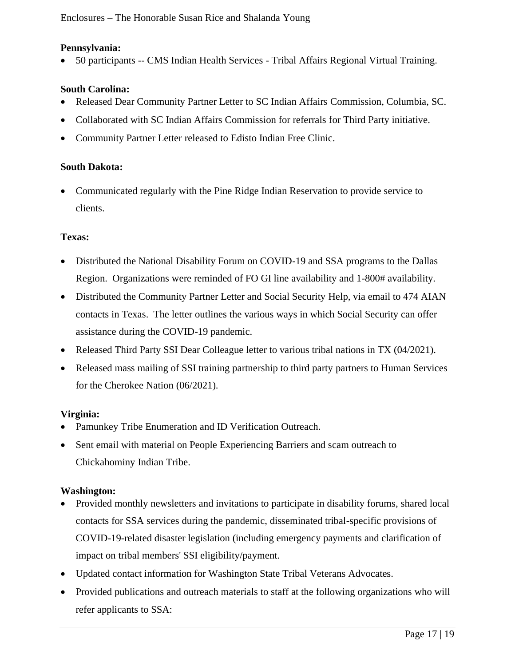#### **Pennsylvania:**

• 50 participants -- CMS Indian Health Services - Tribal Affairs Regional Virtual Training.

### **South Carolina:**

- Released Dear Community Partner Letter to SC Indian Affairs Commission, Columbia, SC.
- Collaborated with SC Indian Affairs Commission for referrals for Third Party initiative.
- Community Partner Letter released to Edisto Indian Free Clinic.

#### **South Dakota:**

• Communicated regularly with the Pine Ridge Indian Reservation to provide service to clients.

#### **Texas:**

- Distributed the National Disability Forum on COVID-19 and SSA programs to the Dallas Region. Organizations were reminded of FO GI line availability and 1-800# availability.
- Distributed the Community Partner Letter and Social Security Help, via email to 474 AIAN contacts in Texas. The letter outlines the various ways in which Social Security can offer assistance during the COVID-19 pandemic.
- Released Third Party SSI Dear Colleague letter to various tribal nations in TX (04/2021).
- Released mass mailing of SSI training partnership to third party partners to Human Services for the Cherokee Nation (06/2021).

## **Virginia:**

- Pamunkey Tribe Enumeration and ID Verification Outreach.
- Sent email with material on People Experiencing Barriers and scam outreach to Chickahominy Indian Tribe.

#### **Washington:**

- Provided monthly newsletters and invitations to participate in disability forums, shared local contacts for SSA services during the pandemic, disseminated tribal-specific provisions of COVID-19-related disaster legislation (including emergency payments and clarification of impact on tribal members' SSI eligibility/payment.
- Updated contact information for Washington State Tribal Veterans Advocates.
- Provided publications and outreach materials to staff at the following organizations who will refer applicants to SSA: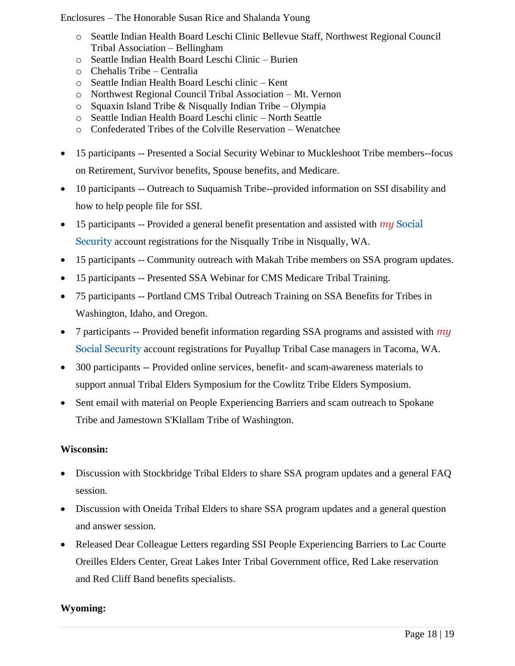- o Seattle Indian Health Board Leschi Clinic Bellevue Staff, Northwest Regional Council Tribal Association – Bellingham
- o Seattle Indian Health Board Leschi Clinic Burien
- o Chehalis Tribe Centralia
- o Seattle Indian Health Board Leschi clinic Kent
- o Northwest Regional Council Tribal Association Mt. Vernon
- o Squaxin Island Tribe & Nisqually Indian Tribe Olympia
- o Seattle Indian Health Board Leschi clinic North Seattle
- o Confederated Tribes of the Colville Reservation Wenatchee
- 15 participants -- Presented a Social Security Webinar to Muckleshoot Tribe members-focus on Retirement, Survivor benefits, Spouse benefits, and Medicare.
- 10 participants -- Outreach to Suquamish Tribe--provided information on SSI disability and how to help people file for SSI.
- 15 participants -- Provided a general benefit presentation and assisted with *my* Social Security account registrations for the Nisqually Tribe in Nisqually, WA.
- 15 participants -- Community outreach with Makah Tribe members on SSA program updates.
- 15 participants -- Presented SSA Webinar for CMS Medicare Tribal Training.
- 75 participants -- Portland CMS Tribal Outreach Training on SSA Benefits for Tribes in Washington, Idaho, and Oregon.
- 7 participants -- Provided benefit information regarding SSA programs and assisted with *my* Social Security account registrations for Puyallup Tribal Case managers in Tacoma, WA.
- 300 participants -- Provided online services, benefit- and scam-awareness materials to support annual Tribal Elders Symposium for the Cowlitz Tribe Elders Symposium.
- Sent email with material on People Experiencing Barriers and scam outreach to Spokane Tribe and Jamestown S'Klallam Tribe of Washington.

## **Wisconsin:**

- Discussion with Stockbridge Tribal Elders to share SSA program updates and a general FAQ session.
- Discussion with Oneida Tribal Elders to share SSA program updates and a general question and answer session.
- Released Dear Colleague Letters regarding SSI People Experiencing Barriers to Lac Courte Oreilles Elders Center, Great Lakes Inter Tribal Government office, Red Lake reservation and Red Cliff Band benefits specialists.

## **Wyoming:**